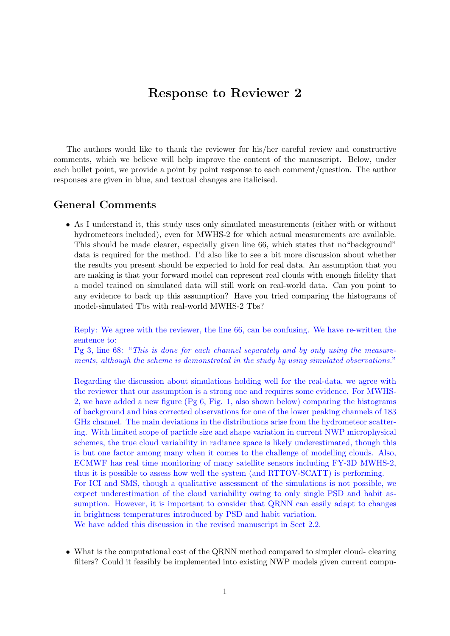## Response to Reviewer 2

The authors would like to thank the reviewer for his/her careful review and constructive comments, which we believe will help improve the content of the manuscript. Below, under each bullet point, we provide a point by point response to each comment/question. The author responses are given in blue, and textual changes are italicised.

## General Comments

• As I understand it, this study uses only simulated measurements (either with or without hydrometeors included), even for MWHS-2 for which actual measurements are available. This should be made clearer, especially given line 66, which states that no"background" data is required for the method. I'd also like to see a bit more discussion about whether the results you present should be expected to hold for real data. An assumption that you are making is that your forward model can represent real clouds with enough fidelity that a model trained on simulated data will still work on real-world data. Can you point to any evidence to back up this assumption? Have you tried comparing the histograms of model-simulated Tbs with real-world MWHS-2 Tbs?

Reply: We agree with the reviewer, the line 66, can be confusing. We have re-written the sentence to:

Pg 3, line 68: "This is done for each channel separately and by only using the measurements, although the scheme is demonstrated in the study by using simulated observations."

Regarding the discussion about simulations holding well for the real-data, we agree with the reviewer that our assumption is a strong one and requires some evidence. For MWHS-2, we have added a new figure (Pg 6, Fig. 1, also shown below) comparing the histograms of background and bias corrected observations for one of the lower peaking channels of 183 GHz channel. The main deviations in the distributions arise from the hydrometeor scattering. With limited scope of particle size and shape variation in current NWP microphysical schemes, the true cloud variability in radiance space is likely underestimated, though this is but one factor among many when it comes to the challenge of modelling clouds. Also, ECMWF has real time monitoring of many satellite sensors including FY-3D MWHS-2, thus it is possible to assess how well the system (and RTTOV-SCATT) is performing. For ICI and SMS, though a qualitative assessment of the simulations is not possible, we expect underestimation of the cloud variability owing to only single PSD and habit assumption. However, it is important to consider that QRNN can easily adapt to changes in brightness temperatures introduced by PSD and habit variation.

We have added this discussion in the revised manuscript in Sect 2.2.

• What is the computational cost of the QRNN method compared to simpler cloud- clearing filters? Could it feasibly be implemented into existing NWP models given current compu-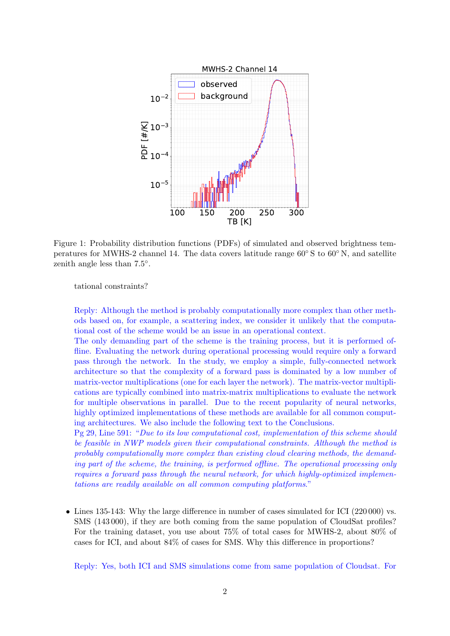

Figure 1: Probability distribution functions (PDFs) of simulated and observed brightness temperatures for MWHS-2 channel 14. The data covers latitude range 60◦ S to 60◦ N, and satellite zenith angle less than  $7.5^{\circ}$ .

tational constraints?

Reply: Although the method is probably computationally more complex than other methods based on, for example, a scattering index, we consider it unlikely that the computational cost of the scheme would be an issue in an operational context.

The only demanding part of the scheme is the training process, but it is performed offline. Evaluating the network during operational processing would require only a forward pass through the network. In the study, we employ a simple, fully-connected network architecture so that the complexity of a forward pass is dominated by a low number of matrix-vector multiplications (one for each layer the network). The matrix-vector multiplications are typically combined into matrix-matrix multiplications to evaluate the network for multiple observations in parallel. Due to the recent popularity of neural networks, highly optimized implementations of these methods are available for all common computing architectures. We also include the following text to the Conclusions.

Pg 29, Line 591: "Due to its low computational cost, implementation of this scheme should be feasible in NWP models given their computational constraints. Although the method is probably computationally more complex than existing cloud clearing methods, the demanding part of the scheme, the training, is performed offline. The operational processing only requires a forward pass through the neural network, for which highly-optimized implementations are readily available on all common computing platforms."

• Lines 135-143: Why the large difference in number of cases simulated for ICI (220 000) vs. SMS (143 000), if they are both coming from the same population of CloudSat profiles? For the training dataset, you use about 75% of total cases for MWHS-2, about 80% of cases for ICI, and about 84% of cases for SMS. Why this difference in proportions?

Reply: Yes, both ICI and SMS simulations come from same population of Cloudsat. For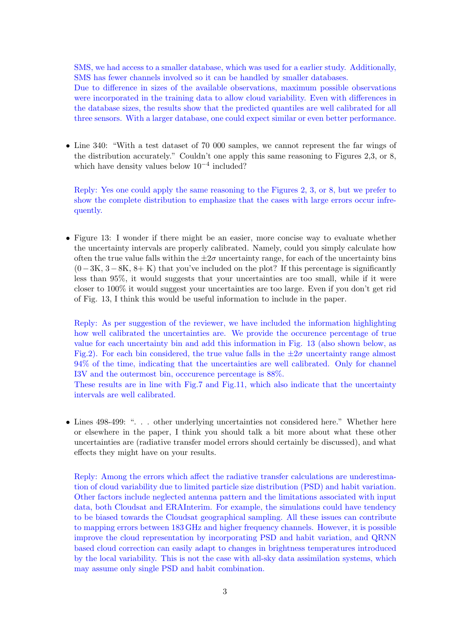SMS, we had access to a smaller database, which was used for a earlier study. Additionally, SMS has fewer channels involved so it can be handled by smaller databases.

Due to difference in sizes of the available observations, maximum possible observations were incorporated in the training data to allow cloud variability. Even with differences in the database sizes, the results show that the predicted quantiles are well calibrated for all three sensors. With a larger database, one could expect similar or even better performance.

• Line 340: "With a test dataset of 70 000 samples, we cannot represent the far wings of the distribution accurately." Couldn't one apply this same reasoning to Figures 2,3, or 8, which have density values below 10−<sup>4</sup> included?

Reply: Yes one could apply the same reasoning to the Figures 2, 3, or 8, but we prefer to show the complete distribution to emphasize that the cases with large errors occur infrequently.

• Figure 13: I wonder if there might be an easier, more concise way to evaluate whether the uncertainty intervals are properly calibrated. Namely, could you simply calculate how often the true value falls within the  $\pm 2\sigma$  uncertainty range, for each of the uncertainty bins  $(0-3K, 3-8K, 8+K)$  that you've included on the plot? If this percentage is significantly less than 95%, it would suggests that your uncertainties are too small, while if it were closer to 100% it would suggest your uncertainties are too large. Even if you don't get rid of Fig. 13, I think this would be useful information to include in the paper.

Reply: As per suggestion of the reviewer, we have included the information highlighting how well calibrated the uncertainties are. We provide the occurence percentage of true value for each uncertainty bin and add this information in Fig. 13 (also shown below, as Fig.2). For each bin considered, the true value falls in the  $\pm 2\sigma$  uncertainty range almost 94% of the time, indicating that the uncertainties are well calibrated. Only for channel I3V and the outermost bin, occcurence percentage is 88%.

These results are in line with Fig.7 and Fig.11, which also indicate that the uncertainty intervals are well calibrated.

• Lines 498-499: "... other underlying uncertainties not considered here." Whether here or elsewhere in the paper, I think you should talk a bit more about what these other uncertainties are (radiative transfer model errors should certainly be discussed), and what effects they might have on your results.

Reply: Among the errors which affect the radiative transfer calculations are underestimation of cloud variability due to limited particle size distribution (PSD) and habit variation. Other factors include neglected antenna pattern and the limitations associated with input data, both Cloudsat and ERAInterim. For example, the simulations could have tendency to be biased towards the Cloudsat geographical sampling. All these issues can contribute to mapping errors between 183 GHz and higher frequency channels. However, it is possible improve the cloud representation by incorporating PSD and habit variation, and QRNN based cloud correction can easily adapt to changes in brightness temperatures introduced by the local variability. This is not the case with all-sky data assimilation systems, which may assume only single PSD and habit combination.